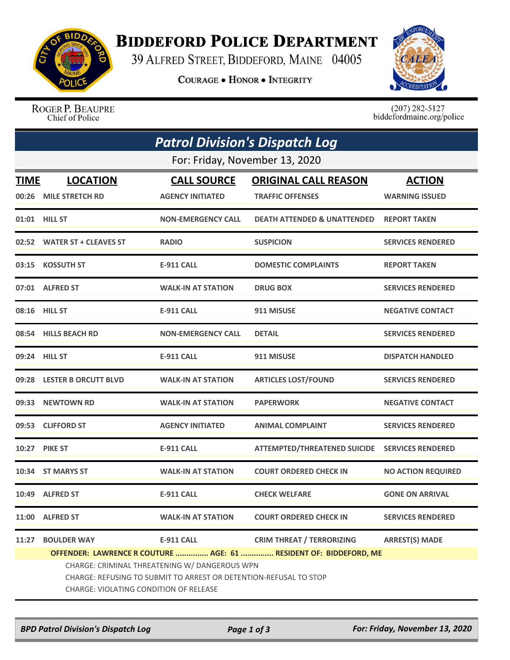

## **BIDDEFORD POLICE DEPARTMENT**

39 ALFRED STREET, BIDDEFORD, MAINE 04005

**COURAGE . HONOR . INTEGRITY** 



ROGER P. BEAUPRE Chief of Police

 $(207)$  282-5127<br>biddefordmaine.org/police

| <b>Patrol Division's Dispatch Log</b> |                                                                                                                                                              |                           |                                                                   |                           |  |  |  |  |
|---------------------------------------|--------------------------------------------------------------------------------------------------------------------------------------------------------------|---------------------------|-------------------------------------------------------------------|---------------------------|--|--|--|--|
|                                       | For: Friday, November 13, 2020                                                                                                                               |                           |                                                                   |                           |  |  |  |  |
| TIME                                  | <b>LOCATION</b>                                                                                                                                              | <b>CALL SOURCE</b>        | <b>ORIGINAL CALL REASON</b>                                       | <b>ACTION</b>             |  |  |  |  |
| 00:26                                 | <b>MILE STRETCH RD</b>                                                                                                                                       | <b>AGENCY INITIATED</b>   | <b>TRAFFIC OFFENSES</b>                                           | <b>WARNING ISSUED</b>     |  |  |  |  |
|                                       | 01:01 HILL ST                                                                                                                                                | <b>NON-EMERGENCY CALL</b> | <b>DEATH ATTENDED &amp; UNATTENDED</b>                            | <b>REPORT TAKEN</b>       |  |  |  |  |
| 02:52                                 | <b>WATER ST + CLEAVES ST</b>                                                                                                                                 | <b>RADIO</b>              | <b>SUSPICION</b>                                                  | <b>SERVICES RENDERED</b>  |  |  |  |  |
|                                       | 03:15 KOSSUTH ST                                                                                                                                             | <b>E-911 CALL</b>         | <b>DOMESTIC COMPLAINTS</b>                                        | <b>REPORT TAKEN</b>       |  |  |  |  |
|                                       | 07:01 ALFRED ST                                                                                                                                              | <b>WALK-IN AT STATION</b> | <b>DRUG BOX</b>                                                   | <b>SERVICES RENDERED</b>  |  |  |  |  |
|                                       | 08:16 HILL ST                                                                                                                                                | <b>E-911 CALL</b>         | 911 MISUSE                                                        | <b>NEGATIVE CONTACT</b>   |  |  |  |  |
|                                       | 08:54 HILLS BEACH RD                                                                                                                                         | <b>NON-EMERGENCY CALL</b> | <b>DETAIL</b>                                                     | <b>SERVICES RENDERED</b>  |  |  |  |  |
|                                       | 09:24 HILL ST                                                                                                                                                | <b>E-911 CALL</b>         | 911 MISUSE                                                        | <b>DISPATCH HANDLED</b>   |  |  |  |  |
|                                       | 09:28 LESTER B ORCUTT BLVD                                                                                                                                   | <b>WALK-IN AT STATION</b> | <b>ARTICLES LOST/FOUND</b>                                        | <b>SERVICES RENDERED</b>  |  |  |  |  |
|                                       | 09:33 NEWTOWN RD                                                                                                                                             | <b>WALK-IN AT STATION</b> | <b>PAPERWORK</b>                                                  | <b>NEGATIVE CONTACT</b>   |  |  |  |  |
|                                       | 09:53 CLIFFORD ST                                                                                                                                            | <b>AGENCY INITIATED</b>   | <b>ANIMAL COMPLAINT</b>                                           | <b>SERVICES RENDERED</b>  |  |  |  |  |
|                                       | <b>10:27 PIKE ST</b>                                                                                                                                         | <b>E-911 CALL</b>         | <b>ATTEMPTED/THREATENED SUICIDE</b>                               | <b>SERVICES RENDERED</b>  |  |  |  |  |
| 10:34                                 | <b>ST MARYS ST</b>                                                                                                                                           | <b>WALK-IN AT STATION</b> | <b>COURT ORDERED CHECK IN</b>                                     | <b>NO ACTION REQUIRED</b> |  |  |  |  |
|                                       | 10:49 ALFRED ST                                                                                                                                              | <b>E-911 CALL</b>         | <b>CHECK WELFARE</b>                                              | <b>GONE ON ARRIVAL</b>    |  |  |  |  |
|                                       | 11:00 ALFRED ST                                                                                                                                              | <b>WALK-IN AT STATION</b> | <b>COURT ORDERED CHECK IN</b>                                     | <b>SERVICES RENDERED</b>  |  |  |  |  |
| 11:27                                 | <b>BOULDER WAY</b>                                                                                                                                           | <b>E-911 CALL</b>         | <b>CRIM THREAT / TERRORIZING</b>                                  | <b>ARREST(S) MADE</b>     |  |  |  |  |
|                                       |                                                                                                                                                              |                           | OFFENDER: LAWRENCE R COUTURE  AGE: 61  RESIDENT OF: BIDDEFORD, ME |                           |  |  |  |  |
|                                       | CHARGE: CRIMINAL THREATENING W/ DANGEROUS WPN<br>CHARGE: REFUSING TO SUBMIT TO ARREST OR DETENTION-REFUSAL TO STOP<br>CHARGE: VIOLATING CONDITION OF RELEASE |                           |                                                                   |                           |  |  |  |  |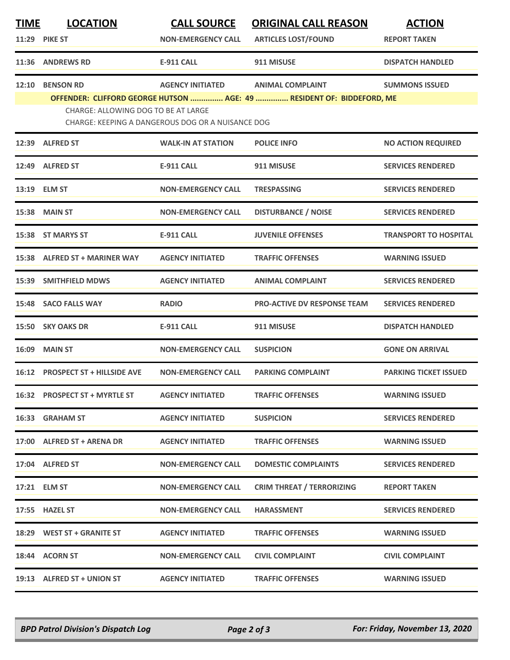| TIME  | <b>LOCATION</b>                     | <b>CALL SOURCE</b>                                | <b>ORIGINAL CALL REASON</b>                                           | <b>ACTION</b>                |
|-------|-------------------------------------|---------------------------------------------------|-----------------------------------------------------------------------|------------------------------|
|       | <b>11:29 PIKE ST</b>                | <b>NON-EMERGENCY CALL</b>                         | <b>ARTICLES LOST/FOUND</b>                                            | <b>REPORT TAKEN</b>          |
|       | <b>11:36 ANDREWS RD</b>             | <b>E-911 CALL</b>                                 | 911 MISUSE                                                            | <b>DISPATCH HANDLED</b>      |
| 12:10 | <b>BENSON RD</b>                    | <b>AGENCY INITIATED</b>                           | <b>ANIMAL COMPLAINT</b>                                               | <b>SUMMONS ISSUED</b>        |
|       | CHARGE: ALLOWING DOG TO BE AT LARGE |                                                   | OFFENDER: CLIFFORD GEORGE HUTSON  AGE: 49  RESIDENT OF: BIDDEFORD, ME |                              |
|       |                                     | CHARGE: KEEPING A DANGEROUS DOG OR A NUISANCE DOG |                                                                       |                              |
|       | 12:39 ALFRED ST                     | <b>WALK-IN AT STATION</b>                         | <b>POLICE INFO</b>                                                    | <b>NO ACTION REQUIRED</b>    |
| 12:49 | <b>ALFRED ST</b>                    | <b>E-911 CALL</b>                                 | 911 MISUSE                                                            | <b>SERVICES RENDERED</b>     |
|       | 13:19 ELM ST                        | <b>NON-EMERGENCY CALL</b>                         | <b>TRESPASSING</b>                                                    | <b>SERVICES RENDERED</b>     |
|       | 15:38 MAIN ST                       | <b>NON-EMERGENCY CALL</b>                         | <b>DISTURBANCE / NOISE</b>                                            | <b>SERVICES RENDERED</b>     |
| 15:38 | <b>ST MARYS ST</b>                  | <b>E-911 CALL</b>                                 | <b>JUVENILE OFFENSES</b>                                              | <b>TRANSPORT TO HOSPITAL</b> |
|       | 15:38 ALFRED ST + MARINER WAY       | <b>AGENCY INITIATED</b>                           | <b>TRAFFIC OFFENSES</b>                                               | <b>WARNING ISSUED</b>        |
| 15:39 | <b>SMITHFIELD MDWS</b>              | <b>AGENCY INITIATED</b>                           | <b>ANIMAL COMPLAINT</b>                                               | <b>SERVICES RENDERED</b>     |
| 15:48 | <b>SACO FALLS WAY</b>               | <b>RADIO</b>                                      | <b>PRO-ACTIVE DV RESPONSE TEAM</b>                                    | <b>SERVICES RENDERED</b>     |
|       | 15:50 SKY OAKS DR                   | <b>E-911 CALL</b>                                 | 911 MISUSE                                                            | <b>DISPATCH HANDLED</b>      |
| 16:09 | <b>MAIN ST</b>                      | <b>NON-EMERGENCY CALL</b>                         | <b>SUSPICION</b>                                                      | <b>GONE ON ARRIVAL</b>       |
|       | 16:12 PROSPECT ST + HILLSIDE AVE    | <b>NON-EMERGENCY CALL</b>                         | <b>PARKING COMPLAINT</b>                                              | <b>PARKING TICKET ISSUED</b> |
|       | 16:32 PROSPECT ST + MYRTLE ST       | <b>AGENCY INITIATED</b>                           | <b>TRAFFIC OFFENSES</b>                                               | <b>WARNING ISSUED</b>        |
|       | 16:33 GRAHAM ST                     | <b>AGENCY INITIATED</b>                           | <b>SUSPICION</b>                                                      | <b>SERVICES RENDERED</b>     |
|       | 17:00 ALFRED ST + ARENA DR          | <b>AGENCY INITIATED</b>                           | <b>TRAFFIC OFFENSES</b>                                               | <b>WARNING ISSUED</b>        |
|       | 17:04 ALFRED ST                     | <b>NON-EMERGENCY CALL</b>                         | <b>DOMESTIC COMPLAINTS</b>                                            | <b>SERVICES RENDERED</b>     |
|       | 17:21 ELM ST                        | <b>NON-EMERGENCY CALL</b>                         | <b>CRIM THREAT / TERRORIZING</b>                                      | <b>REPORT TAKEN</b>          |
|       | 17:55 HAZEL ST                      | <b>NON-EMERGENCY CALL</b>                         | <b>HARASSMENT</b>                                                     | <b>SERVICES RENDERED</b>     |
|       | 18:29 WEST ST + GRANITE ST          | <b>AGENCY INITIATED</b>                           | <b>TRAFFIC OFFENSES</b>                                               | <b>WARNING ISSUED</b>        |
|       | 18:44 ACORN ST                      | <b>NON-EMERGENCY CALL</b>                         | <b>CIVIL COMPLAINT</b>                                                | <b>CIVIL COMPLAINT</b>       |
|       | 19:13 ALFRED ST + UNION ST          | <b>AGENCY INITIATED</b>                           | <b>TRAFFIC OFFENSES</b>                                               | <b>WARNING ISSUED</b>        |

*BPD Patrol Division's Dispatch Log Page 2 of 3 For: Friday, November 13, 2020*